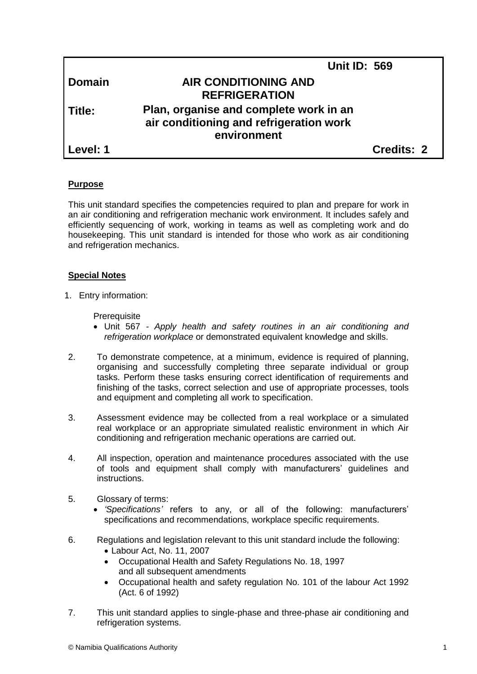|               | <b>Unit ID: 569</b>                                                               |            |
|---------------|-----------------------------------------------------------------------------------|------------|
| <b>Domain</b> | <b>AIR CONDITIONING AND</b>                                                       |            |
|               | <b>REFRIGERATION</b>                                                              |            |
| Title:        | Plan, organise and complete work in an<br>air conditioning and refrigeration work |            |
|               | environment                                                                       |            |
| Level: 1      |                                                                                   | Credits: 2 |
|               |                                                                                   |            |

# **Purpose**

This unit standard specifies the competencies required to plan and prepare for work in an air conditioning and refrigeration mechanic work environment*.* It includes safely and efficiently sequencing of work, working in teams as well as completing work and do housekeeping. This unit standard is intended for those who work as air conditioning and refrigeration mechanics.

## **Special Notes**

1. Entry information:

**Prerequisite** 

- Unit 567 *- Apply health and safety routines in an air conditioning and refrigeration workplace* or demonstrated equivalent knowledge and skills.
- 2. To demonstrate competence, at a minimum, evidence is required of planning, organising and successfully completing three separate individual or group tasks. Perform these tasks ensuring correct identification of requirements and finishing of the tasks, correct selection and use of appropriate processes, tools and equipment and completing all work to specification.
- 3. Assessment evidence may be collected from a real workplace or a simulated real workplace or an appropriate simulated realistic environment in which Air conditioning and refrigeration mechanic operations are carried out.
- 4. All inspection, operation and maintenance procedures associated with the use of tools and equipment shall comply with manufacturers' guidelines and instructions.
- 5. Glossary of terms:
	- *'Specifications'* refers to any, or all of the following: manufacturers' specifications and recommendations, workplace specific requirements.
- 6. Regulations and legislation relevant to this unit standard include the following:
	- Labour Act, No. 11, 2007
	- Occupational Health and Safety Regulations No. 18, 1997 and all subsequent amendments
	- Occupational health and safety regulation No. 101 of the labour Act 1992 (Act. 6 of 1992)
- 7. This unit standard applies to single-phase and three-phase air conditioning and refrigeration systems.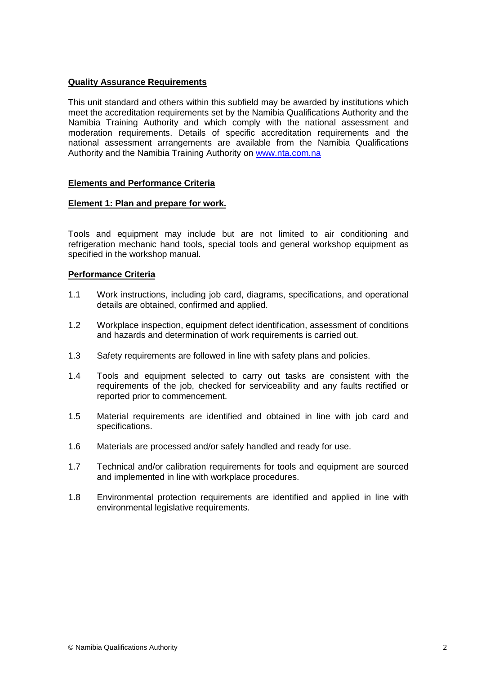# **Quality Assurance Requirements**

This unit standard and others within this subfield may be awarded by institutions which meet the accreditation requirements set by the Namibia Qualifications Authority and the Namibia Training Authority and which comply with the national assessment and moderation requirements. Details of specific accreditation requirements and the national assessment arrangements are available from the Namibia Qualifications Authority and the Namibia Training Authority on [www.nta.com.na](http://www.nta.com.na/)

# **Elements and Performance Criteria**

## **Element 1: Plan and prepare for work.**

Tools and equipment may include but are not limited to air conditioning and refrigeration mechanic hand tools, special tools and general workshop equipment as specified in the workshop manual.

## **Performance Criteria**

- 1.1 Work instructions, including job card, diagrams, specifications, and operational details are obtained, confirmed and applied.
- 1.2 Workplace inspection, equipment defect identification, assessment of conditions and hazards and determination of work requirements is carried out.
- 1.3 Safety requirements are followed in line with safety plans and policies.
- 1.4 Tools and equipment selected to carry out tasks are consistent with the requirements of the job, checked for serviceability and any faults rectified or reported prior to commencement.
- 1.5 Material requirements are identified and obtained in line with job card and specifications.
- 1.6 Materials are processed and/or safely handled and ready for use.
- 1.7 Technical and/or calibration requirements for tools and equipment are sourced and implemented in line with workplace procedures.
- 1.8 Environmental protection requirements are identified and applied in line with environmental legislative requirements.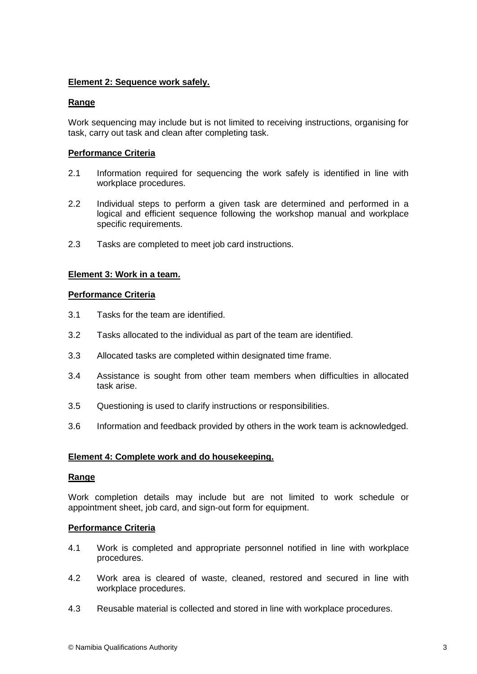# **Element 2: Sequence work safely.**

# **Range**

Work sequencing may include but is not limited to receiving instructions, organising for task, carry out task and clean after completing task.

# **Performance Criteria**

- 2.1 Information required for sequencing the work safely is identified in line with workplace procedures.
- 2.2 Individual steps to perform a given task are determined and performed in a logical and efficient sequence following the workshop manual and workplace specific requirements.
- 2.3 Tasks are completed to meet job card instructions.

## **Element 3: Work in a team.**

## **Performance Criteria**

- 3.1 Tasks for the team are identified.
- 3.2 Tasks allocated to the individual as part of the team are identified.
- 3.3 Allocated tasks are completed within designated time frame.
- 3.4 Assistance is sought from other team members when difficulties in allocated task arise.
- 3.5 Questioning is used to clarify instructions or responsibilities.
- 3.6 Information and feedback provided by others in the work team is acknowledged.

#### **Element 4: Complete work and do housekeeping.**

#### **Range**

Work completion details may include but are not limited to work schedule or appointment sheet, job card, and sign-out form for equipment.

#### **Performance Criteria**

- 4.1 Work is completed and appropriate personnel notified in line with workplace procedures.
- 4.2 Work area is cleared of waste, cleaned, restored and secured in line with workplace procedures.
- 4.3 Reusable material is collected and stored in line with workplace procedures.